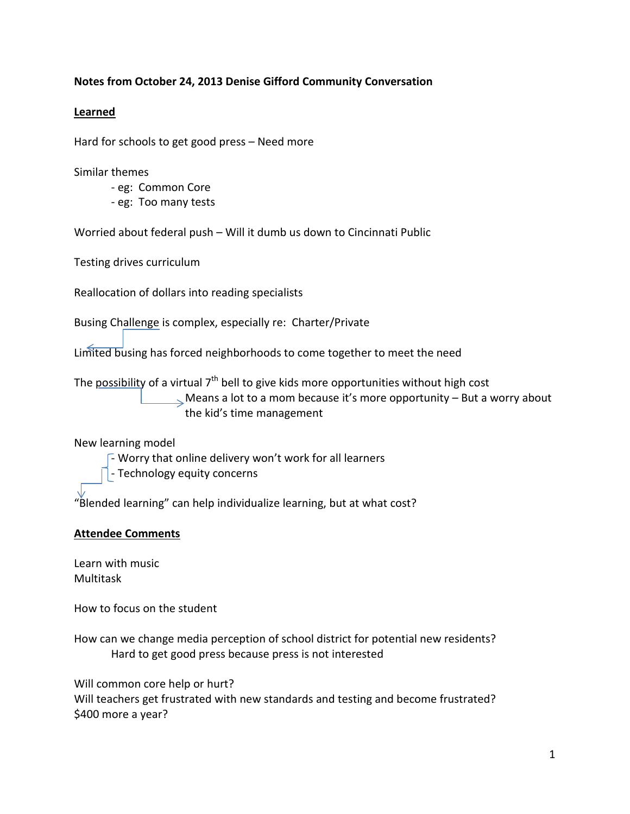## **Notes from October 24, 2013 Denise Gifford Community Conversation**

## **Learned**

Hard for schools to get good press – Need more

Similar themes

- eg: Common Core
- eg: Too many tests

Worried about federal push – Will it dumb us down to Cincinnati Public

Testing drives curriculum

Reallocation of dollars into reading specialists

Busing Challenge is complex, especially re: Charter/Private

Limited busing has forced neighborhoods to come together to meet the need

The possibility of a virtual  $7<sup>th</sup>$  bell to give kids more opportunities without high cost  $\sim$  Means a lot to a mom because it's more opportunity – But a worry about the kid's time management

## New learning model

 $\sqrt{-}$  Worry that online delivery won't work for all learners

- Technology equity concerns

"Blended learning" can help individualize learning, but at what cost?

## **Attendee Comments**

Learn with music Multitask

How to focus on the student

How can we change media perception of school district for potential new residents? Hard to get good press because press is not interested

Will common core help or hurt? Will teachers get frustrated with new standards and testing and become frustrated? \$400 more a year?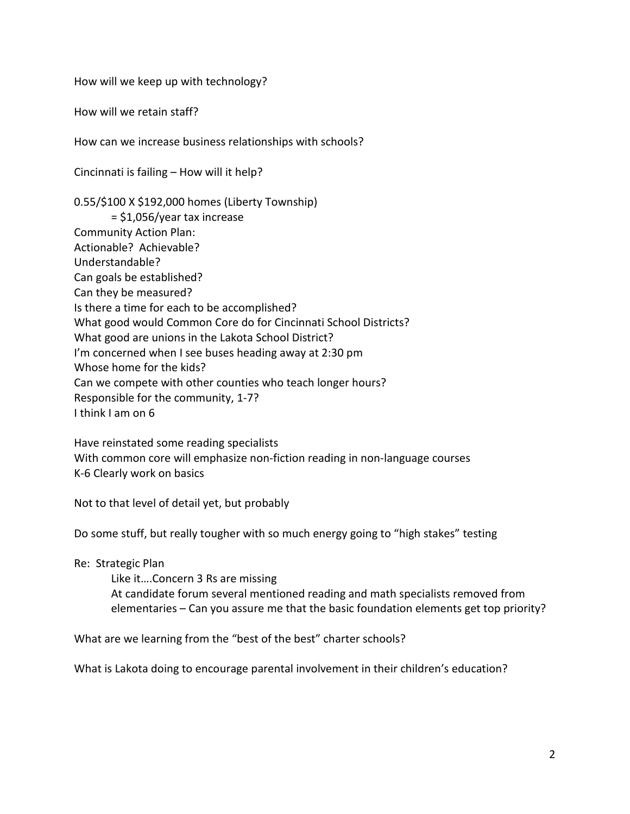How will we keep up with technology?

How will we retain staff?

How can we increase business relationships with schools?

Cincinnati is failing – How will it help?

0.55/\$100 X \$192,000 homes (Liberty Township) = \$1,056/year tax increase Community Action Plan: Actionable? Achievable? Understandable? Can goals be established? Can they be measured? Is there a time for each to be accomplished? What good would Common Core do for Cincinnati School Districts? What good are unions in the Lakota School District? I'm concerned when I see buses heading away at 2:30 pm Whose home for the kids? Can we compete with other counties who teach longer hours? Responsible for the community, 1-7? I think I am on 6

Have reinstated some reading specialists With common core will emphasize non-fiction reading in non-language courses K-6 Clearly work on basics

Not to that level of detail yet, but probably

Do some stuff, but really tougher with so much energy going to "high stakes" testing

Re: Strategic Plan

Like it….Concern 3 Rs are missing At candidate forum several mentioned reading and math specialists removed from elementaries – Can you assure me that the basic foundation elements get top priority?

What are we learning from the "best of the best" charter schools?

What is Lakota doing to encourage parental involvement in their children's education?